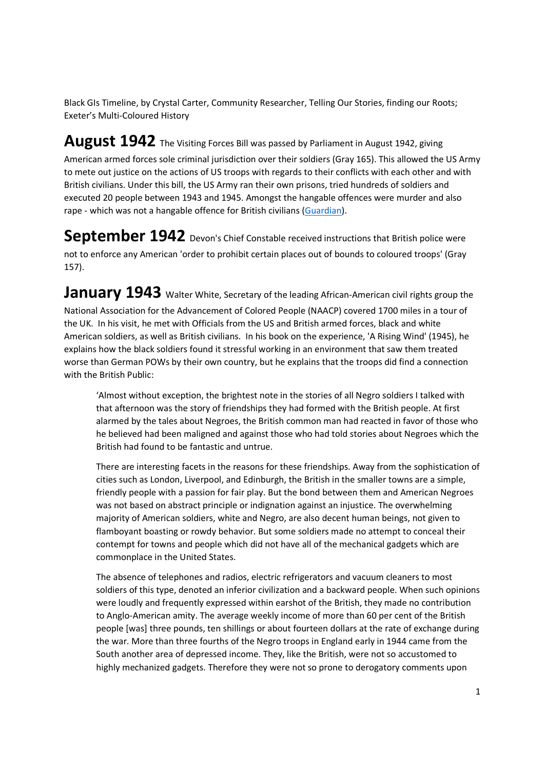Black GIs Timeline, by Crystal Carter, Community Researcher, Telling Our Stories, finding our Roots; Exeter's Multi-Coloured History

## **August 1942** The Visiting Forces Bill was passed by Parliament in August 1942, giving

American armed forces sole criminal jurisdiction over their soldiers (Gray 165). This allowed the US Army to mete out justice on the actions of US troops with regards to their conflicts with each other and with British civilians. Under this bill, the US Army ran their own prisons, tried hundreds of soldiers and executed 20 people between 1943 and 1945. Amongst the hangable offences were murder and also rape - which was not a hangable offence for British civilians (Guardian).

**September 1942** Devon's Chief Constable received instructions that British police were not to enforce any American 'order to prohibit certain places out of bounds to coloured troops' (Gray 157).

**January 1943** Walter White, Secretary of the leading African-American civil rights group the National Association for the Advancement of Colored People (NAACP) covered 1700 miles in a tour of the UK. In his visit, he met with Officials from the US and British armed forces, black and white American soldiers, as well as British civilians. In his book on the experience, 'A Rising Wind' (1945), he explains how the black soldiers found it stressful working in an environment that saw them treated worse than German POWs by their own country, but he explains that the troops did find a connection with the British Public:

'Almost without exception, the brightest note in the stories of all Negro soldiers I talked with that afternoon was the story of friendships they had formed with the British people. At first alarmed by the tales about Negroes, the British common man had reacted in favor of those who he believed had been maligned and against those who had told stories about Negroes which the British had found to be fantastic and untrue.

There are interesting facets in the reasons for these friendships. Away from the sophistication of cities such as London, Liverpool, and Edinburgh, the British in the smaller towns are a simple, friendly people with a passion for fair play. But the bond between them and American Negroes was not based on abstract principle or indignation against an injustice. The overwhelming majority of American soldiers, white and Negro, are also decent human beings, not given to flamboyant boasting or rowdy behavior. But some soldiers made no attempt to conceal their contempt for towns and people which did not have all of the mechanical gadgets which are commonplace in the United States.

The absence of telephones and radios, electric refrigerators and vacuum cleaners to most soldiers of this type, denoted an inferior civilization and a backward people. When such opinions were loudly and frequently expressed within earshot of the British, they made no contribution to Anglo-American amity. The average weekly income of more than 60 per cent of the British people [was] three pounds, ten shillings or about fourteen dollars at the rate of exchange during the war. More than three fourths of the Negro troops in England early in 1944 came from the South another area of depressed income. They, like the British, were not so accustomed to highly mechanized gadgets. Therefore they were not so prone to derogatory comments upon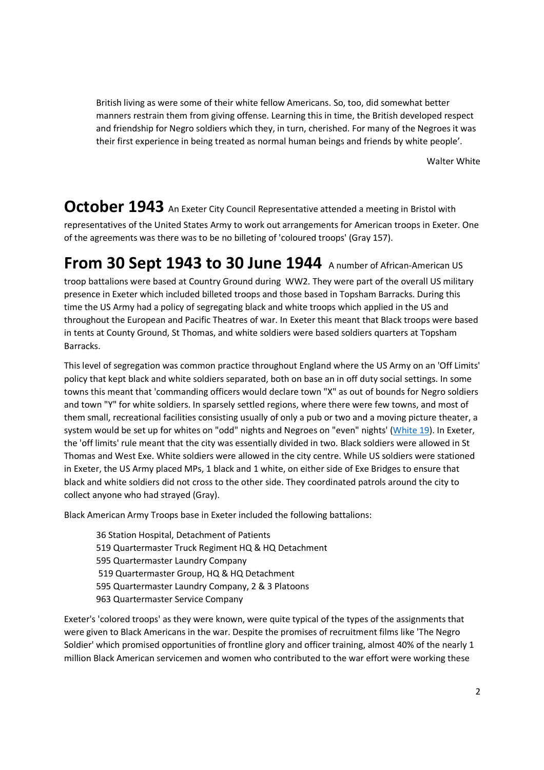British living as were some of their white fellow Americans. So, too, did somewhat better manners restrain them from giving offense. Learning this in time, the British developed respect and friendship for Negro soldiers which they, in turn, cherished. For many of the Negroes it was their first experience in being treated as normal human beings and friends by white people'.

Walter White

**October 1943** An Exeter City Council Representative attended a meeting in Bristol with representatives of the United States Army to work out arrangements for American troops in Exeter. One of the agreements was there was to be no billeting of 'coloured troops' (Gray 157).

## **From 30 Sept 1943 to 30 June 1944** A number of African-American US

troop battalions were based at Country Ground during WW2. They were part of the overall US military presence in Exeter which included billeted troops and those based in Topsham Barracks. During this time the US Army had a policy of segregating black and white troops which applied in the US and throughout the European and Pacific Theatres of war. In Exeter this meant that Black troops were based in tents at County Ground, St Thomas, and white soldiers were based soldiers quarters at Topsham Barracks.

This level of segregation was common practice throughout England where the US Army on an 'Off Limits' policy that kept black and white soldiers separated, both on base an in off duty social settings. In some towns this meant that 'commanding officers would declare town "X" as out of bounds for Negro soldiers and town "Y" for white soldiers. In sparsely settled regions, where there were few towns, and most of them small, recreational facilities consisting usually of only a pub or two and a moving picture theater, a system would be set up for whites on "odd" nights and Negroes on "even" nights' (White 19). In Exeter, the 'off limits' rule meant that the city was essentially divided in two. Black soldiers were allowed in St Thomas and West Exe. White soldiers were allowed in the city centre. While US soldiers were stationed in Exeter, the US Army placed MPs, 1 black and 1 white, on either side of Exe Bridges to ensure that black and white soldiers did not cross to the other side. They coordinated patrols around the city to collect anyone who had strayed (Gray).

Black American Army Troops base in Exeter included the following battalions:

36 Station Hospital, Detachment of Patients 519 Quartermaster Truck Regiment HQ & HQ Detachment 595 Quartermaster Laundry Company 519 Quartermaster Group, HQ & HQ Detachment 595 Quartermaster Laundry Company, 2 & 3 Platoons 963 Quartermaster Service Company

Exeter's 'colored troops' as they were known, were quite typical of the types of the assignments that were given to Black Americans in the war. Despite the promises of recruitment films like 'The Negro Soldier' which promised opportunities of frontline glory and officer training, almost 40% of the nearly 1 million Black American servicemen and women who contributed to the war effort were working these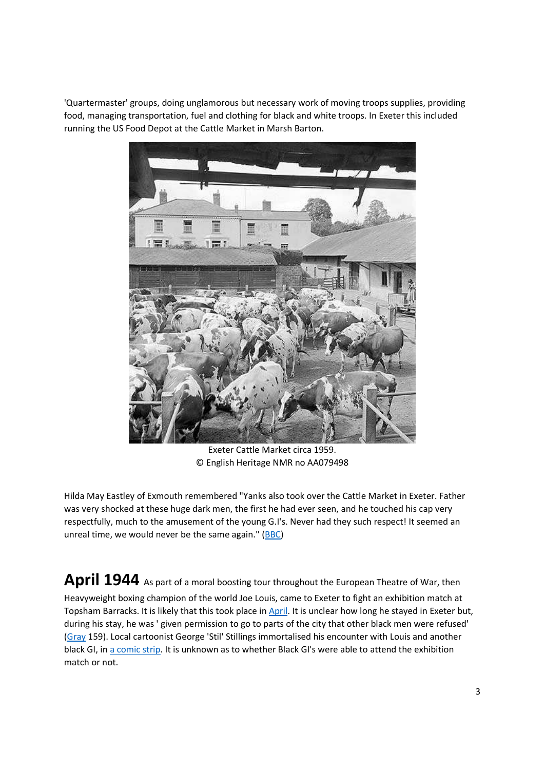'Quartermaster' groups, doing unglamorous but necessary work of moving troops supplies, providing food, managing transportation, fuel and clothing for black and white troops. In Exeter this included running the US Food Depot at the Cattle Market in Marsh Barton.



Exeter Cattle Market circa 1959. © English Heritage NMR no AA079498

Hilda May Eastley of Exmouth remembered "Yanks also took over the Cattle Market in Exeter. Father was very shocked at these huge dark men, the first he had ever seen, and he touched his cap very respectfully, much to the amusement of the young G.I's. Never had they such respect! It seemed an unreal time, we would never be the same again." (BBC)

April 1944 As part of a moral boosting tour throughout the European Theatre of War, then Heavyweight boxing champion of the world Joe Louis, came to Exeter to fight an exhibition match at Topsham Barracks. It is likely that this took place in April. It is unclear how long he stayed in Exeter but, during his stay, he was ' given permission to go to parts of the city that other black men were refused' (Gray 159). Local cartoonist George 'Stil' Stillings immortalised his encounter with Louis and another black GI, in a comic strip. It is unknown as to whether Black GI's were able to attend the exhibition match or not.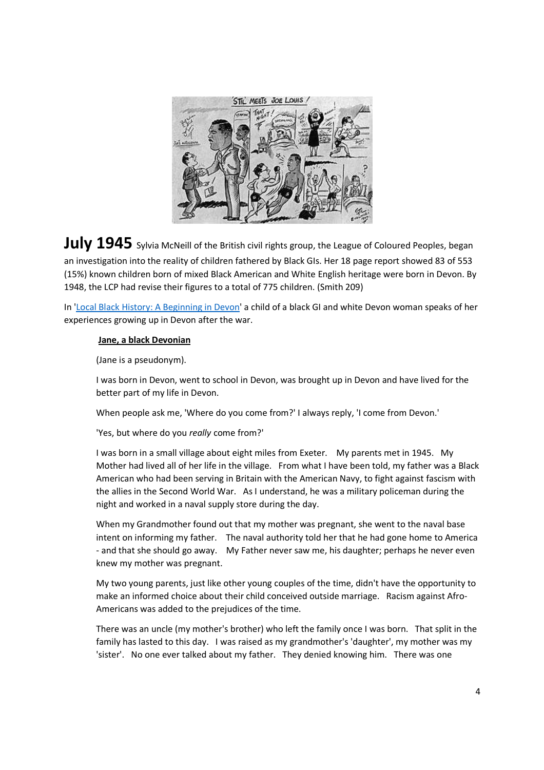

July 1945 Sylvia McNeill of the British civil rights group, the League of Coloured Peoples, began an investigation into the reality of children fathered by Black GIs. Her 18 page report showed 83 of 553 (15%) known children born of mixed Black American and White English heritage were born in Devon. By 1948, the LCP had revise their figures to a total of 775 children. (Smith 209)

In 'Local Black History: A Beginning in Devon' a child of a black GI and white Devon woman speaks of her experiences growing up in Devon after the war.

## **Jane, a black Devonian**

(Jane is a pseudonym).

I was born in Devon, went to school in Devon, was brought up in Devon and have lived for the better part of my life in Devon.

When people ask me, 'Where do you come from?' I always reply, 'I come from Devon.'

'Yes, but where do you *really* come from?'

I was born in a small village about eight miles from Exeter. My parents met in 1945. My Mother had lived all of her life in the village. From what I have been told, my father was a Black American who had been serving in Britain with the American Navy, to fight against fascism with the allies in the Second World War. As I understand, he was a military policeman during the night and worked in a naval supply store during the day.

When my Grandmother found out that my mother was pregnant, she went to the naval base intent on informing my father. The naval authority told her that he had gone home to America - and that she should go away. My Father never saw me, his daughter; perhaps he never even knew my mother was pregnant.

My two young parents, just like other young couples of the time, didn't have the opportunity to make an informed choice about their child conceived outside marriage. Racism against Afro-Americans was added to the prejudices of the time.

There was an uncle (my mother's brother) who left the family once I was born. That split in the family has lasted to this day. I was raised as my grandmother's 'daughter', my mother was my 'sister'. No one ever talked about my father. They denied knowing him. There was one